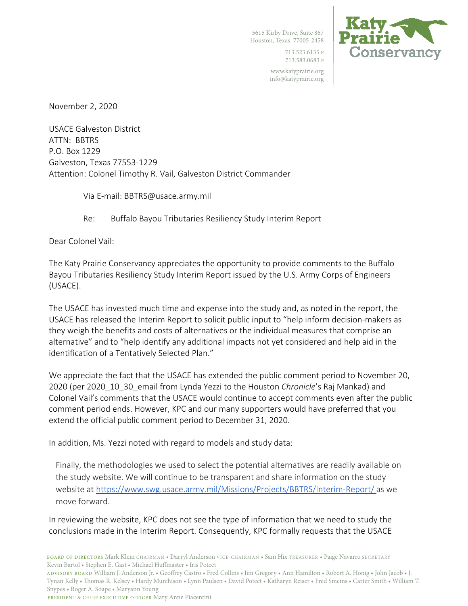5615 Kirby Drive, Suite 867 Houston, Texas 77005-2458

> 713.523.6135 P 713.583.0683 F

www.katyprairie.org info@katyprairie.org



November 2, 2020

USACE Galveston District ATTN: BBTRS P.O. Box 1229 Galveston, Texas 77553-1229 Attention: Colonel Timothy R. Vail, Galveston District Commander

Via E-mail: BBTRS@usace.army.mil

Re: Buffalo Bayou Tributaries Resiliency Study Interim Report

Dear Colonel Vail:

The Katy Prairie Conservancy appreciates the opportunity to provide comments to the Buffalo Bayou Tributaries Resiliency Study Interim Report issued by the U.S. Army Corps of Engineers (USACE).

The USACE has invested much time and expense into the study and, as noted in the report, the USACE has released the Interim Report to solicit public input to "help inform decision-makers as they weigh the benefits and costs of alternatives or the individual measures that comprise an alternative" and to "help identify any additional impacts not yet considered and help aid in the identification of a Tentatively Selected Plan."

We appreciate the fact that the USACE has extended the public comment period to November 20, 2020 (per 2020\_10\_30\_email from Lynda Yezzi to the Houston *Chronicle*'s Raj Mankad) and Colonel Vail's comments that the USACE would continue to accept comments even after the public comment period ends. However, KPC and our many supporters would have preferred that you extend the official public comment period to December 31, 2020.

In addition, Ms. Yezzi noted with regard to models and study data:

Finally, the methodologies we used to select the potential alternatives are readily available on the study website. We will continue to be transparent and share information on the study website at https://www.swg.usace.army.mil/Missions/Projects/BBTRS/Interim-Report/ as we move forward.

In reviewing the website, KPC does not see the type of information that we need to study the conclusions made in the Interim Report. Consequently, KPC formally requests that the USACE

ADVISORY BOARD William J. Anderson Jr. • Geoffrey Castro • Fred Collins • Jim Gregory • Ann Hamilton • Robert A. Honig • John Jacob • J. Tynan Kelly • Thomas R. Kelsey • Hardy Murchison • Lynn Paulsen • David Poteet • Katharyn Reiser • Fred Smeins • Carter Smith • William T. Snypes • Roger A. Soape • Maryann Young

PRESIDENT & CHIEF EXECUTIVE OFFICER Mary Anne Piacentini

BOARD OF DIRECTORS Mark Klein CHAIRMAN • Darryl Anderson VICE-CHAIRMAN • Sam Hix TREASURER • Paige Navarro SECRETARY Kevin Bartol • Stephen E. Gast • Michael Huffmaster • Iris Poteet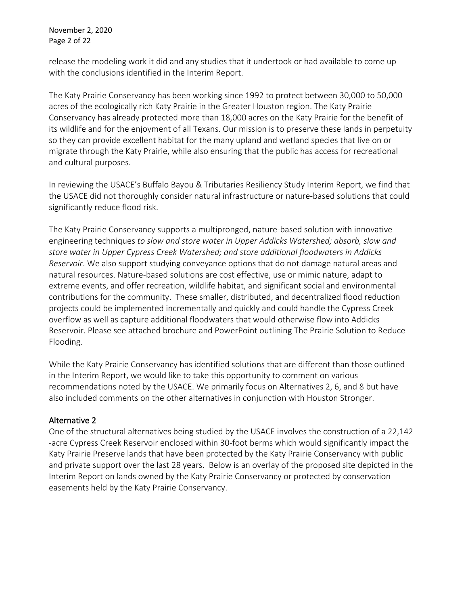November 2, 2020 Page 2 of 22

release the modeling work it did and any studies that it undertook or had available to come up with the conclusions identified in the Interim Report.

The Katy Prairie Conservancy has been working since 1992 to protect between 30,000 to 50,000 acres of the ecologically rich Katy Prairie in the Greater Houston region. The Katy Prairie Conservancy has already protected more than 18,000 acres on the Katy Prairie for the benefit of its wildlife and for the enjoyment of all Texans. Our mission is to preserve these lands in perpetuity so they can provide excellent habitat for the many upland and wetland species that live on or migrate through the Katy Prairie, while also ensuring that the public has access for recreational and cultural purposes.

In reviewing the USACE's Buffalo Bayou & Tributaries Resiliency Study Interim Report, we find that the USACE did not thoroughly consider natural infrastructure or nature-based solutions that could significantly reduce flood risk.

The Katy Prairie Conservancy supports a multipronged, nature-based solution with innovative engineering techniques *to slow and store water in Upper Addicks Watershed; absorb, slow and store water in Upper Cypress Creek Watershed; and store additional floodwaters in Addicks Reservoir*. We also support studying conveyance options that do not damage natural areas and natural resources. Nature-based solutions are cost effective, use or mimic nature, adapt to extreme events, and offer recreation, wildlife habitat, and significant social and environmental contributions for the community. These smaller, distributed, and decentralized flood reduction projects could be implemented incrementally and quickly and could handle the Cypress Creek overflow as well as capture additional floodwaters that would otherwise flow into Addicks Reservoir. Please see attached brochure and PowerPoint outlining The Prairie Solution to Reduce Flooding.

While the Katy Prairie Conservancy has identified solutions that are different than those outlined in the Interim Report, we would like to take this opportunity to comment on various recommendations noted by the USACE. We primarily focus on Alternatives 2, 6, and 8 but have also included comments on the other alternatives in conjunction with Houston Stronger.

### Alternative 2

One of the structural alternatives being studied by the USACE involves the construction of a 22,142 -acre Cypress Creek Reservoir enclosed within 30-foot berms which would significantly impact the Katy Prairie Preserve lands that have been protected by the Katy Prairie Conservancy with public and private support over the last 28 years. Below is an overlay of the proposed site depicted in the Interim Report on lands owned by the Katy Prairie Conservancy or protected by conservation easements held by the Katy Prairie Conservancy.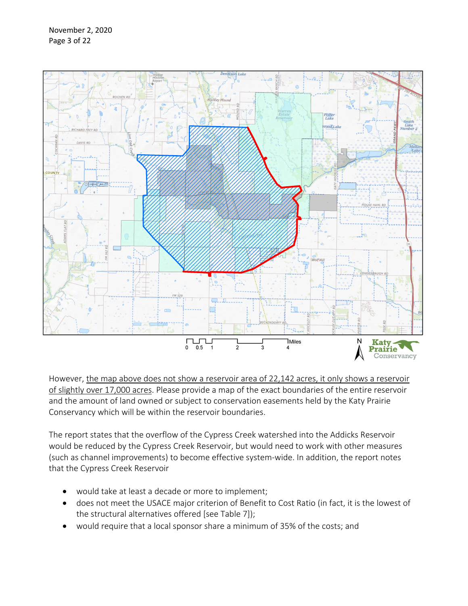

However, the map above does not show a reservoir area of 22,142 acres, it only shows a reservoir of slightly over 17,000 acres. Please provide a map of the exact boundaries of the entire reservoir and the amount of land owned or subject to conservation easements held by the Katy Prairie Conservancy which will be within the reservoir boundaries.

The report states that the overflow of the Cypress Creek watershed into the Addicks Reservoir would be reduced by the Cypress Creek Reservoir, but would need to work with other measures (such as channel improvements) to become effective system-wide. In addition, the report notes that the Cypress Creek Reservoir

- would take at least a decade or more to implement;
- does not meet the USACE major criterion of Benefit to Cost Ratio (in fact, it is the lowest of the structural alternatives offered [see Table 7]);
- would require that a local sponsor share a minimum of 35% of the costs; and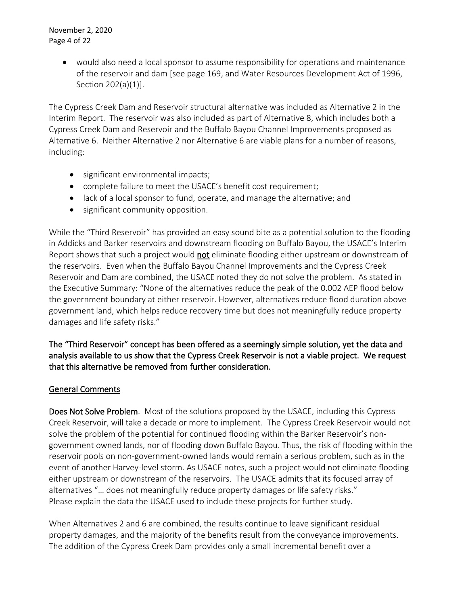• would also need a local sponsor to assume responsibility for operations and maintenance of the reservoir and dam [see page 169, and Water Resources Development Act of 1996, Section 202(a)(1)].

The Cypress Creek Dam and Reservoir structural alternative was included as Alternative 2 in the Interim Report. The reservoir was also included as part of Alternative 8, which includes both a Cypress Creek Dam and Reservoir and the Buffalo Bayou Channel Improvements proposed as Alternative 6. Neither Alternative 2 nor Alternative 6 are viable plans for a number of reasons, including:

- significant environmental impacts;
- complete failure to meet the USACE's benefit cost requirement;
- lack of a local sponsor to fund, operate, and manage the alternative; and
- significant community opposition.

While the "Third Reservoir" has provided an easy sound bite as a potential solution to the flooding in Addicks and Barker reservoirs and downstream flooding on Buffalo Bayou, the USACE's Interim Report shows that such a project would not eliminate flooding either upstream or downstream of the reservoirs. Even when the Buffalo Bayou Channel Improvements and the Cypress Creek Reservoir and Dam are combined, the USACE noted they do not solve the problem. As stated in the Executive Summary: "None of the alternatives reduce the peak of the 0.002 AEP flood below the government boundary at either reservoir. However, alternatives reduce flood duration above government land, which helps reduce recovery time but does not meaningfully reduce property damages and life safety risks."

# The "Third Reservoir" concept has been offered as a seemingly simple solution, yet the data and analysis available to us show that the Cypress Creek Reservoir is not a viable project. We request that this alternative be removed from further consideration.

## General Comments

Does Not Solve Problem. Most of the solutions proposed by the USACE, including this Cypress Creek Reservoir, will take a decade or more to implement. The Cypress Creek Reservoir would not solve the problem of the potential for continued flooding within the Barker Reservoir's nongovernment owned lands, nor of flooding down Buffalo Bayou. Thus, the risk of flooding within the reservoir pools on non-government-owned lands would remain a serious problem, such as in the event of another Harvey-level storm. As USACE notes, such a project would not eliminate flooding either upstream or downstream of the reservoirs. The USACE admits that its focused array of alternatives "… does not meaningfully reduce property damages or life safety risks." Please explain the data the USACE used to include these projects for further study.

When Alternatives 2 and 6 are combined, the results continue to leave significant residual property damages, and the majority of the benefits result from the conveyance improvements. The addition of the Cypress Creek Dam provides only a small incremental benefit over a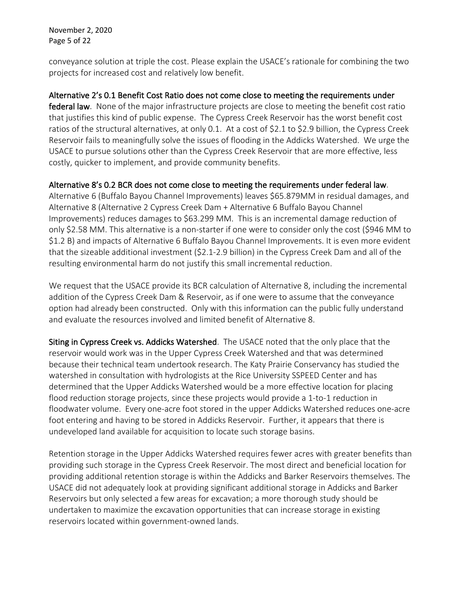November 2, 2020 Page 5 of 22

conveyance solution at triple the cost. Please explain the USACE's rationale for combining the two projects for increased cost and relatively low benefit.

### Alternative 2's 0.1 Benefit Cost Ratio does not come close to meeting the requirements under

federal law. None of the major infrastructure projects are close to meeting the benefit cost ratio that justifies this kind of public expense. The Cypress Creek Reservoir has the worst benefit cost ratios of the structural alternatives, at only 0.1. At a cost of \$2.1 to \$2.9 billion, the Cypress Creek Reservoir fails to meaningfully solve the issues of flooding in the Addicks Watershed. We urge the USACE to pursue solutions other than the Cypress Creek Reservoir that are more effective, less costly, quicker to implement, and provide community benefits.

### Alternative 8's 0.2 BCR does not come close to meeting the requirements under federal law.

Alternative 6 (Buffalo Bayou Channel Improvements) leaves \$65.879MM in residual damages, and Alternative 8 (Alternative 2 Cypress Creek Dam + Alternative 6 Buffalo Bayou Channel Improvements) reduces damages to \$63.299 MM. This is an incremental damage reduction of only \$2.58 MM. This alternative is a non-starter if one were to consider only the cost (\$946 MM to \$1.2 B) and impacts of Alternative 6 Buffalo Bayou Channel Improvements. It is even more evident that the sizeable additional investment (\$2.1-2.9 billion) in the Cypress Creek Dam and all of the resulting environmental harm do not justify this small incremental reduction.

We request that the USACE provide its BCR calculation of Alternative 8, including the incremental addition of the Cypress Creek Dam & Reservoir, as if one were to assume that the conveyance option had already been constructed. Only with this information can the public fully understand and evaluate the resources involved and limited benefit of Alternative 8.

Siting in Cypress Creek vs. Addicks Watershed. The USACE noted that the only place that the reservoir would work was in the Upper Cypress Creek Watershed and that was determined because their technical team undertook research. The Katy Prairie Conservancy has studied the watershed in consultation with hydrologists at the Rice University SSPEED Center and has determined that the Upper Addicks Watershed would be a more effective location for placing flood reduction storage projects, since these projects would provide a 1-to-1 reduction in floodwater volume. Every one-acre foot stored in the upper Addicks Watershed reduces one-acre foot entering and having to be stored in Addicks Reservoir. Further, it appears that there is undeveloped land available for acquisition to locate such storage basins.

Retention storage in the Upper Addicks Watershed requires fewer acres with greater benefits than providing such storage in the Cypress Creek Reservoir. The most direct and beneficial location for providing additional retention storage is within the Addicks and Barker Reservoirs themselves. The USACE did not adequately look at providing significant additional storage in Addicks and Barker Reservoirs but only selected a few areas for excavation; a more thorough study should be undertaken to maximize the excavation opportunities that can increase storage in existing reservoirs located within government-owned lands.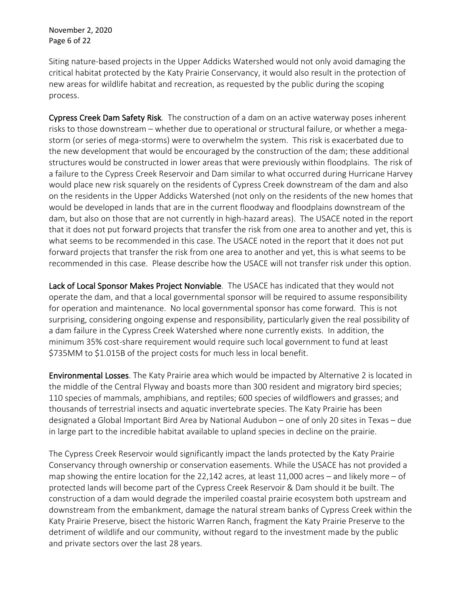November 2, 2020 Page 6 of 22

Siting nature-based projects in the Upper Addicks Watershed would not only avoid damaging the critical habitat protected by the Katy Prairie Conservancy, it would also result in the protection of new areas for wildlife habitat and recreation, as requested by the public during the scoping process.

Cypress Creek Dam Safety Risk. The construction of a dam on an active waterway poses inherent risks to those downstream – whether due to operational or structural failure, or whether a megastorm (or series of mega-storms) were to overwhelm the system. This risk is exacerbated due to the new development that would be encouraged by the construction of the dam; these additional structures would be constructed in lower areas that were previously within floodplains. The risk of a failure to the Cypress Creek Reservoir and Dam similar to what occurred during Hurricane Harvey would place new risk squarely on the residents of Cypress Creek downstream of the dam and also on the residents in the Upper Addicks Watershed (not only on the residents of the new homes that would be developed in lands that are in the current floodway and floodplains downstream of the dam, but also on those that are not currently in high-hazard areas). The USACE noted in the report that it does not put forward projects that transfer the risk from one area to another and yet, this is what seems to be recommended in this case. The USACE noted in the report that it does not put forward projects that transfer the risk from one area to another and yet, this is what seems to be recommended in this case. Please describe how the USACE will not transfer risk under this option.

Lack of Local Sponsor Makes Project Nonviable. The USACE has indicated that they would not operate the dam, and that a local governmental sponsor will be required to assume responsibility for operation and maintenance. No local governmental sponsor has come forward. This is not surprising, considering ongoing expense and responsibility, particularly given the real possibility of a dam failure in the Cypress Creek Watershed where none currently exists. In addition, the minimum 35% cost-share requirement would require such local government to fund at least \$735MM to \$1.015B of the project costs for much less in local benefit.

Environmental Losses. The Katy Prairie area which would be impacted by Alternative 2 is located in the middle of the Central Flyway and boasts more than 300 resident and migratory bird species; 110 species of mammals, amphibians, and reptiles; 600 species of wildflowers and grasses; and thousands of terrestrial insects and aquatic invertebrate species. The Katy Prairie has been designated a Global Important Bird Area by National Audubon – one of only 20 sites in Texas – due in large part to the incredible habitat available to upland species in decline on the prairie.

The Cypress Creek Reservoir would significantly impact the lands protected by the Katy Prairie Conservancy through ownership or conservation easements. While the USACE has not provided a map showing the entire location for the 22,142 acres, at least 11,000 acres – and likely more – of protected lands will become part of the Cypress Creek Reservoir & Dam should it be built. The construction of a dam would degrade the imperiled coastal prairie ecosystem both upstream and downstream from the embankment, damage the natural stream banks of Cypress Creek within the Katy Prairie Preserve, bisect the historic Warren Ranch, fragment the Katy Prairie Preserve to the detriment of wildlife and our community, without regard to the investment made by the public and private sectors over the last 28 years.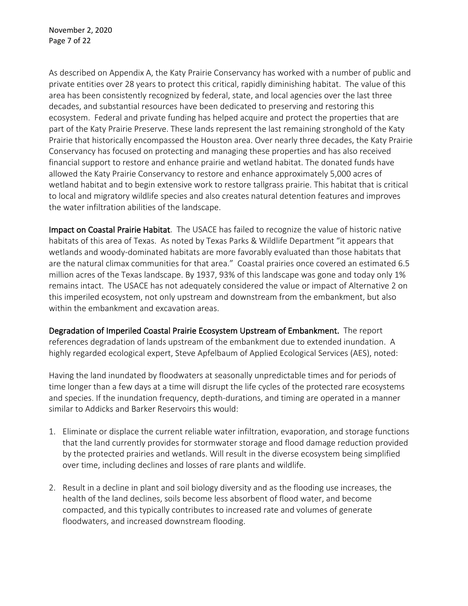As described on Appendix A, the Katy Prairie Conservancy has worked with a number of public and private entities over 28 years to protect this critical, rapidly diminishing habitat. The value of this area has been consistently recognized by federal, state, and local agencies over the last three decades, and substantial resources have been dedicated to preserving and restoring this ecosystem. Federal and private funding has helped acquire and protect the properties that are part of the Katy Prairie Preserve. These lands represent the last remaining stronghold of the Katy Prairie that historically encompassed the Houston area. Over nearly three decades, the Katy Prairie Conservancy has focused on protecting and managing these properties and has also received financial support to restore and enhance prairie and wetland habitat. The donated funds have allowed the Katy Prairie Conservancy to restore and enhance approximately 5,000 acres of wetland habitat and to begin extensive work to restore tallgrass prairie. This habitat that is critical to local and migratory wildlife species and also creates natural detention features and improves the water infiltration abilities of the landscape.

Impact on Coastal Prairie Habitat. The USACE has failed to recognize the value of historic native habitats of this area of Texas. As noted by Texas Parks & Wildlife Department "it appears that wetlands and woody-dominated habitats are more favorably evaluated than those habitats that are the natural climax communities for that area." Coastal prairies once covered an estimated 6.5 million acres of the Texas landscape. By 1937, 93% of this landscape was gone and today only 1% remains intact. The USACE has not adequately considered the value or impact of Alternative 2 on this imperiled ecosystem, not only upstream and downstream from the embankment, but also within the embankment and excavation areas.

Degradation of Imperiled Coastal Prairie Ecosystem Upstream of Embankment. The report references degradation of lands upstream of the embankment due to extended inundation. A highly regarded ecological expert, Steve Apfelbaum of Applied Ecological Services (AES), noted:

Having the land inundated by floodwaters at seasonally unpredictable times and for periods of time longer than a few days at a time will disrupt the life cycles of the protected rare ecosystems and species. If the inundation frequency, depth-durations, and timing are operated in a manner similar to Addicks and Barker Reservoirs this would:

- 1. Eliminate or displace the current reliable water infiltration, evaporation, and storage functions that the land currently provides for stormwater storage and flood damage reduction provided by the protected prairies and wetlands. Will result in the diverse ecosystem being simplified over time, including declines and losses of rare plants and wildlife.
- 2. Result in a decline in plant and soil biology diversity and as the flooding use increases, the health of the land declines, soils become less absorbent of flood water, and become compacted, and this typically contributes to increased rate and volumes of generate floodwaters, and increased downstream flooding.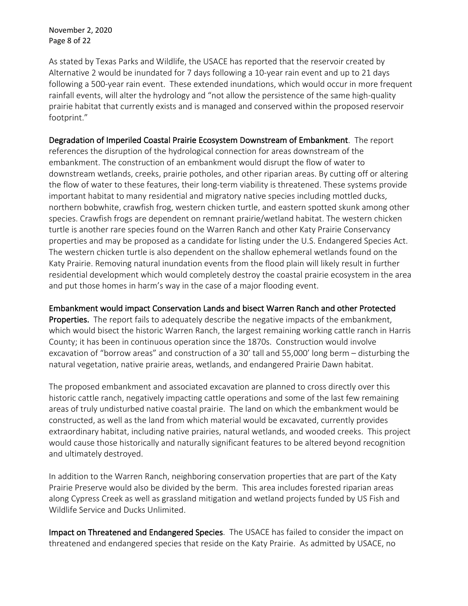November 2, 2020 Page 8 of 22

As stated by Texas Parks and Wildlife, the USACE has reported that the reservoir created by Alternative 2 would be inundated for 7 days following a 10-year rain event and up to 21 days following a 500-year rain event. These extended inundations, which would occur in more frequent rainfall events, will alter the hydrology and "not allow the persistence of the same high-quality prairie habitat that currently exists and is managed and conserved within the proposed reservoir footprint."

Degradation of Imperiled Coastal Prairie Ecosystem Downstream of Embankment. The report references the disruption of the hydrological connection for areas downstream of the embankment. The construction of an embankment would disrupt the flow of water to downstream wetlands, creeks, prairie potholes, and other riparian areas. By cutting off or altering the flow of water to these features, their long-term viability is threatened. These systems provide important habitat to many residential and migratory native species including mottled ducks, northern bobwhite, crawfish frog, western chicken turtle, and eastern spotted skunk among other species. Crawfish frogs are dependent on remnant prairie/wetland habitat. The western chicken turtle is another rare species found on the Warren Ranch and other Katy Prairie Conservancy properties and may be proposed as a candidate for listing under the U.S. Endangered Species Act. The western chicken turtle is also dependent on the shallow ephemeral wetlands found on the Katy Prairie. Removing natural inundation events from the flood plain will likely result in further residential development which would completely destroy the coastal prairie ecosystem in the area and put those homes in harm's way in the case of a major flooding event.

Embankment would impact Conservation Lands and bisect Warren Ranch and other Protected

Properties. The report fails to adequately describe the negative impacts of the embankment, which would bisect the historic Warren Ranch, the largest remaining working cattle ranch in Harris County; it has been in continuous operation since the 1870s. Construction would involve excavation of "borrow areas" and construction of a 30' tall and 55,000' long berm – disturbing the natural vegetation, native prairie areas, wetlands, and endangered Prairie Dawn habitat.

The proposed embankment and associated excavation are planned to cross directly over this historic cattle ranch, negatively impacting cattle operations and some of the last few remaining areas of truly undisturbed native coastal prairie. The land on which the embankment would be constructed, as well as the land from which material would be excavated, currently provides extraordinary habitat, including native prairies, natural wetlands, and wooded creeks. This project would cause those historically and naturally significant features to be altered beyond recognition and ultimately destroyed.

In addition to the Warren Ranch, neighboring conservation properties that are part of the Katy Prairie Preserve would also be divided by the berm. This area includes forested riparian areas along Cypress Creek as well as grassland mitigation and wetland projects funded by US Fish and Wildlife Service and Ducks Unlimited.

Impact on Threatened and Endangered Species. The USACE has failed to consider the impact on threatened and endangered species that reside on the Katy Prairie. As admitted by USACE, no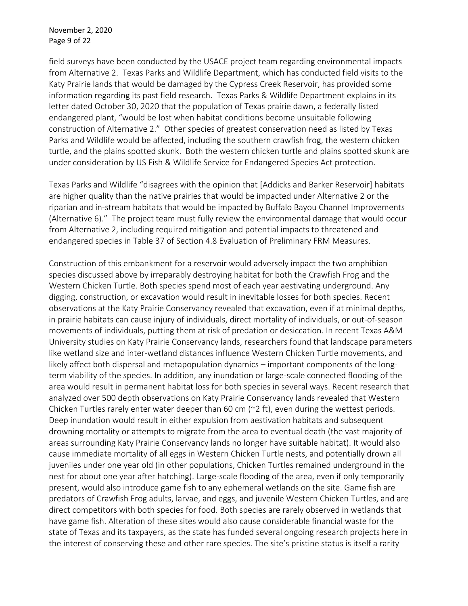field surveys have been conducted by the USACE project team regarding environmental impacts from Alternative 2. Texas Parks and Wildlife Department, which has conducted field visits to the Katy Prairie lands that would be damaged by the Cypress Creek Reservoir, has provided some information regarding its past field research. Texas Parks & Wildlife Department explains in its letter dated October 30, 2020 that the population of Texas prairie dawn, a federally listed endangered plant, "would be lost when habitat conditions become unsuitable following construction of Alternative 2." Other species of greatest conservation need as listed by Texas Parks and Wildlife would be affected, including the southern crawfish frog, the western chicken turtle, and the plains spotted skunk. Both the western chicken turtle and plains spotted skunk are under consideration by US Fish & Wildlife Service for Endangered Species Act protection.

Texas Parks and Wildlife "disagrees with the opinion that [Addicks and Barker Reservoir] habitats are higher quality than the native prairies that would be impacted under Alternative 2 or the riparian and in-stream habitats that would be impacted by Buffalo Bayou Channel Improvements (Alternative 6)." The project team must fully review the environmental damage that would occur from Alternative 2, including required mitigation and potential impacts to threatened and endangered species in Table 37 of Section 4.8 Evaluation of Preliminary FRM Measures.

Construction of this embankment for a reservoir would adversely impact the two amphibian species discussed above by irreparably destroying habitat for both the Crawfish Frog and the Western Chicken Turtle. Both species spend most of each year aestivating underground. Any digging, construction, or excavation would result in inevitable losses for both species. Recent observations at the Katy Prairie Conservancy revealed that excavation, even if at minimal depths, in prairie habitats can cause injury of individuals, direct mortality of individuals, or out-of-season movements of individuals, putting them at risk of predation or desiccation. In recent Texas A&M University studies on Katy Prairie Conservancy lands, researchers found that landscape parameters like wetland size and inter-wetland distances influence Western Chicken Turtle movements, and likely affect both dispersal and metapopulation dynamics – important components of the longterm viability of the species. In addition, any inundation or large-scale connected flooding of the area would result in permanent habitat loss for both species in several ways. Recent research that analyzed over 500 depth observations on Katy Prairie Conservancy lands revealed that Western Chicken Turtles rarely enter water deeper than 60 cm (~2 ft), even during the wettest periods. Deep inundation would result in either expulsion from aestivation habitats and subsequent drowning mortality or attempts to migrate from the area to eventual death (the vast majority of areas surrounding Katy Prairie Conservancy lands no longer have suitable habitat). It would also cause immediate mortality of all eggs in Western Chicken Turtle nests, and potentially drown all juveniles under one year old (in other populations, Chicken Turtles remained underground in the nest for about one year after hatching). Large-scale flooding of the area, even if only temporarily present, would also introduce game fish to any ephemeral wetlands on the site. Game fish are predators of Crawfish Frog adults, larvae, and eggs, and juvenile Western Chicken Turtles, and are direct competitors with both species for food. Both species are rarely observed in wetlands that have game fish. Alteration of these sites would also cause considerable financial waste for the state of Texas and its taxpayers, as the state has funded several ongoing research projects here in the interest of conserving these and other rare species. The site's pristine status is itself a rarity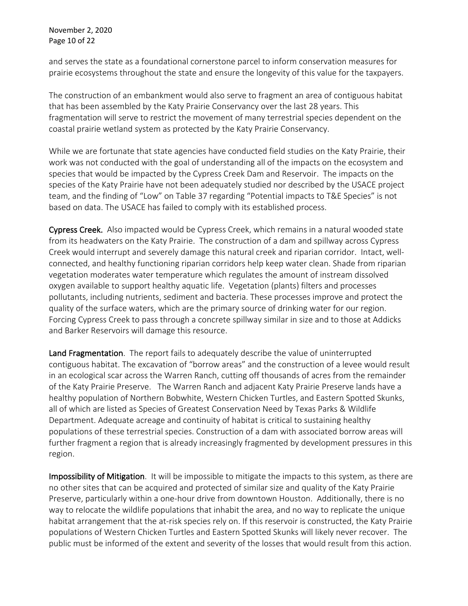November 2, 2020 Page 10 of 22

and serves the state as a foundational cornerstone parcel to inform conservation measures for prairie ecosystems throughout the state and ensure the longevity of this value for the taxpayers.

The construction of an embankment would also serve to fragment an area of contiguous habitat that has been assembled by the Katy Prairie Conservancy over the last 28 years. This fragmentation will serve to restrict the movement of many terrestrial species dependent on the coastal prairie wetland system as protected by the Katy Prairie Conservancy.

While we are fortunate that state agencies have conducted field studies on the Katy Prairie, their work was not conducted with the goal of understanding all of the impacts on the ecosystem and species that would be impacted by the Cypress Creek Dam and Reservoir. The impacts on the species of the Katy Prairie have not been adequately studied nor described by the USACE project team, and the finding of "Low" on Table 37 regarding "Potential impacts to T&E Species" is not based on data. The USACE has failed to comply with its established process.

Cypress Creek. Also impacted would be Cypress Creek, which remains in a natural wooded state from its headwaters on the Katy Prairie. The construction of a dam and spillway across Cypress Creek would interrupt and severely damage this natural creek and riparian corridor. Intact, wellconnected, and healthy functioning riparian corridors help keep water clean. Shade from riparian vegetation moderates water temperature which regulates the amount of instream dissolved oxygen available to support healthy aquatic life. Vegetation (plants) filters and processes pollutants, including nutrients, sediment and bacteria. These processes improve and protect the quality of the surface waters, which are the primary source of drinking water for our region. Forcing Cypress Creek to pass through a concrete spillway similar in size and to those at Addicks and Barker Reservoirs will damage this resource.

Land Fragmentation. The report fails to adequately describe the value of uninterrupted contiguous habitat. The excavation of "borrow areas" and the construction of a levee would result in an ecological scar across the Warren Ranch, cutting off thousands of acres from the remainder of the Katy Prairie Preserve. The Warren Ranch and adjacent Katy Prairie Preserve lands have a healthy population of Northern Bobwhite, Western Chicken Turtles, and Eastern Spotted Skunks, all of which are listed as Species of Greatest Conservation Need by Texas Parks & Wildlife Department. Adequate acreage and continuity of habitat is critical to sustaining healthy populations of these terrestrial species. Construction of a dam with associated borrow areas will further fragment a region that is already increasingly fragmented by development pressures in this region.

Impossibility of Mitigation. It will be impossible to mitigate the impacts to this system, as there are no other sites that can be acquired and protected of similar size and quality of the Katy Prairie Preserve, particularly within a one-hour drive from downtown Houston. Additionally, there is no way to relocate the wildlife populations that inhabit the area, and no way to replicate the unique habitat arrangement that the at-risk species rely on. If this reservoir is constructed, the Katy Prairie populations of Western Chicken Turtles and Eastern Spotted Skunks will likely never recover. The public must be informed of the extent and severity of the losses that would result from this action.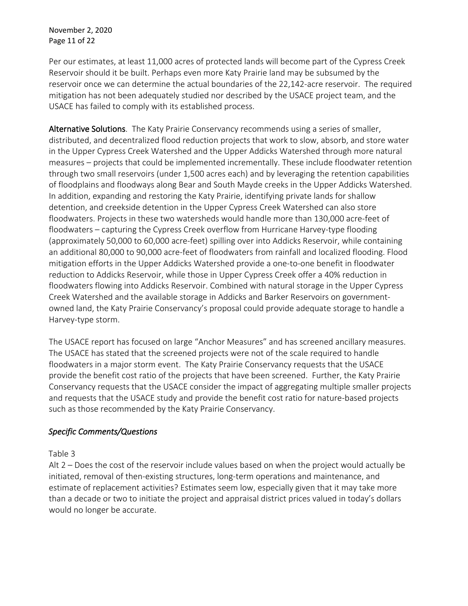November 2, 2020 Page 11 of 22

Per our estimates, at least 11,000 acres of protected lands will become part of the Cypress Creek Reservoir should it be built. Perhaps even more Katy Prairie land may be subsumed by the reservoir once we can determine the actual boundaries of the 22,142-acre reservoir. The required mitigation has not been adequately studied nor described by the USACE project team, and the USACE has failed to comply with its established process.

Alternative Solutions. The Katy Prairie Conservancy recommends using a series of smaller, distributed, and decentralized flood reduction projects that work to slow, absorb, and store water in the Upper Cypress Creek Watershed and the Upper Addicks Watershed through more natural measures – projects that could be implemented incrementally. These include floodwater retention through two small reservoirs (under 1,500 acres each) and by leveraging the retention capabilities of floodplains and floodways along Bear and South Mayde creeks in the Upper Addicks Watershed. In addition, expanding and restoring the Katy Prairie, identifying private lands for shallow detention, and creekside detention in the Upper Cypress Creek Watershed can also store floodwaters. Projects in these two watersheds would handle more than 130,000 acre-feet of floodwaters – capturing the Cypress Creek overflow from Hurricane Harvey-type flooding (approximately 50,000 to 60,000 acre-feet) spilling over into Addicks Reservoir, while containing an additional 80,000 to 90,000 acre-feet of floodwaters from rainfall and localized flooding. Flood mitigation efforts in the Upper Addicks Watershed provide a one-to-one benefit in floodwater reduction to Addicks Reservoir, while those in Upper Cypress Creek offer a 40% reduction in floodwaters flowing into Addicks Reservoir. Combined with natural storage in the Upper Cypress Creek Watershed and the available storage in Addicks and Barker Reservoirs on governmentowned land, the Katy Prairie Conservancy's proposal could provide adequate storage to handle a Harvey-type storm.

The USACE report has focused on large "Anchor Measures" and has screened ancillary measures. The USACE has stated that the screened projects were not of the scale required to handle floodwaters in a major storm event. The Katy Prairie Conservancy requests that the USACE provide the benefit cost ratio of the projects that have been screened. Further, the Katy Prairie Conservancy requests that the USACE consider the impact of aggregating multiple smaller projects and requests that the USACE study and provide the benefit cost ratio for nature-based projects such as those recommended by the Katy Prairie Conservancy.

## *Specific Comments/Questions*

## Table 3

Alt 2 – Does the cost of the reservoir include values based on when the project would actually be initiated, removal of then-existing structures, long-term operations and maintenance, and estimate of replacement activities? Estimates seem low, especially given that it may take more than a decade or two to initiate the project and appraisal district prices valued in today's dollars would no longer be accurate.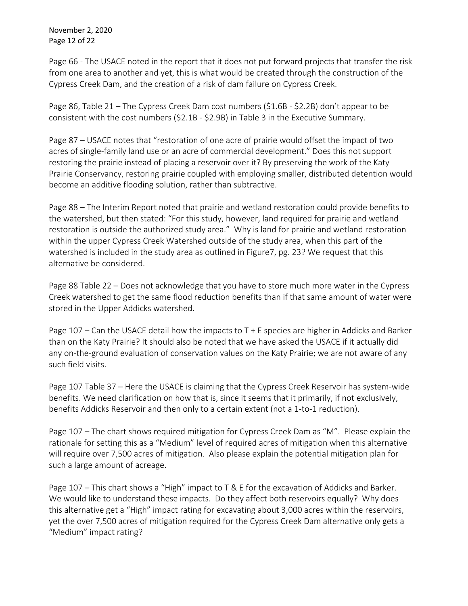November 2, 2020 Page 12 of 22

Page 66 - The USACE noted in the report that it does not put forward projects that transfer the risk from one area to another and yet, this is what would be created through the construction of the Cypress Creek Dam, and the creation of a risk of dam failure on Cypress Creek.

Page 86, Table 21 – The Cypress Creek Dam cost numbers (\$1.6B - \$2.2B) don't appear to be consistent with the cost numbers (\$2.1B - \$2.9B) in Table 3 in the Executive Summary.

Page 87 – USACE notes that "restoration of one acre of prairie would offset the impact of two acres of single-family land use or an acre of commercial development." Does this not support restoring the prairie instead of placing a reservoir over it? By preserving the work of the Katy Prairie Conservancy, restoring prairie coupled with employing smaller, distributed detention would become an additive flooding solution, rather than subtractive.

Page 88 – The Interim Report noted that prairie and wetland restoration could provide benefits to the watershed, but then stated: "For this study, however, land required for prairie and wetland restoration is outside the authorized study area." Why is land for prairie and wetland restoration within the upper Cypress Creek Watershed outside of the study area, when this part of the watershed is included in the study area as outlined in Figure7, pg. 23? We request that this alternative be considered.

Page 88 Table 22 – Does not acknowledge that you have to store much more water in the Cypress Creek watershed to get the same flood reduction benefits than if that same amount of water were stored in the Upper Addicks watershed.

Page 107 – Can the USACE detail how the impacts to T + E species are higher in Addicks and Barker than on the Katy Prairie? It should also be noted that we have asked the USACE if it actually did any on-the-ground evaluation of conservation values on the Katy Prairie; we are not aware of any such field visits.

Page 107 Table 37 – Here the USACE is claiming that the Cypress Creek Reservoir has system-wide benefits. We need clarification on how that is, since it seems that it primarily, if not exclusively, benefits Addicks Reservoir and then only to a certain extent (not a 1-to-1 reduction).

Page 107 – The chart shows required mitigation for Cypress Creek Dam as "M". Please explain the rationale for setting this as a "Medium" level of required acres of mitigation when this alternative will require over 7,500 acres of mitigation. Also please explain the potential mitigation plan for such a large amount of acreage.

Page 107 – This chart shows a "High" impact to T & E for the excavation of Addicks and Barker. We would like to understand these impacts. Do they affect both reservoirs equally? Why does this alternative get a "High" impact rating for excavating about 3,000 acres within the reservoirs, yet the over 7,500 acres of mitigation required for the Cypress Creek Dam alternative only gets a "Medium" impact rating?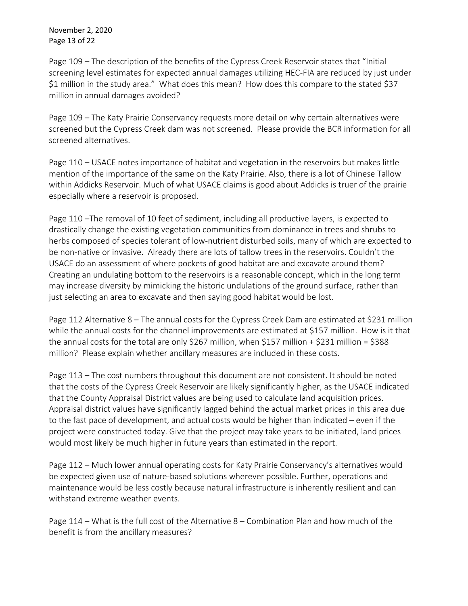November 2, 2020 Page 13 of 22

Page 109 – The description of the benefits of the Cypress Creek Reservoir states that "Initial screening level estimates for expected annual damages utilizing HEC-FIA are reduced by just under \$1 million in the study area." What does this mean? How does this compare to the stated \$37 million in annual damages avoided?

Page 109 – The Katy Prairie Conservancy requests more detail on why certain alternatives were screened but the Cypress Creek dam was not screened. Please provide the BCR information for all screened alternatives.

Page 110 – USACE notes importance of habitat and vegetation in the reservoirs but makes little mention of the importance of the same on the Katy Prairie. Also, there is a lot of Chinese Tallow within Addicks Reservoir. Much of what USACE claims is good about Addicks is truer of the prairie especially where a reservoir is proposed.

Page 110 –The removal of 10 feet of sediment, including all productive layers, is expected to drastically change the existing vegetation communities from dominance in trees and shrubs to herbs composed of species tolerant of low-nutrient disturbed soils, many of which are expected to be non-native or invasive. Already there are lots of tallow trees in the reservoirs. Couldn't the USACE do an assessment of where pockets of good habitat are and excavate around them? Creating an undulating bottom to the reservoirs is a reasonable concept, which in the long term may increase diversity by mimicking the historic undulations of the ground surface, rather than just selecting an area to excavate and then saying good habitat would be lost.

Page 112 Alternative 8 - The annual costs for the Cypress Creek Dam are estimated at \$231 million while the annual costs for the channel improvements are estimated at \$157 million. How is it that the annual costs for the total are only \$267 million, when \$157 million + \$231 million = \$388 million? Please explain whether ancillary measures are included in these costs.

Page 113 – The cost numbers throughout this document are not consistent. It should be noted that the costs of the Cypress Creek Reservoir are likely significantly higher, as the USACE indicated that the County Appraisal District values are being used to calculate land acquisition prices. Appraisal district values have significantly lagged behind the actual market prices in this area due to the fast pace of development, and actual costs would be higher than indicated – even if the project were constructed today. Give that the project may take years to be initiated, land prices would most likely be much higher in future years than estimated in the report.

Page 112 – Much lower annual operating costs for Katy Prairie Conservancy's alternatives would be expected given use of nature-based solutions wherever possible. Further, operations and maintenance would be less costly because natural infrastructure is inherently resilient and can withstand extreme weather events.

Page 114 – What is the full cost of the Alternative 8 – Combination Plan and how much of the benefit is from the ancillary measures?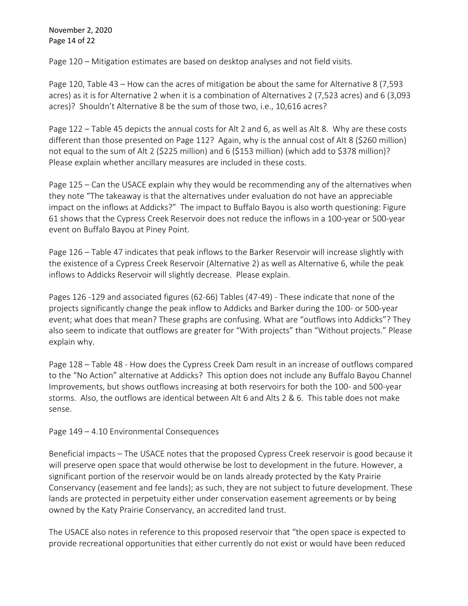November 2, 2020 Page 14 of 22

Page 120 – Mitigation estimates are based on desktop analyses and not field visits.

Page 120, Table 43 – How can the acres of mitigation be about the same for Alternative 8 (7,593 acres) as it is for Alternative 2 when it is a combination of Alternatives 2 (7,523 acres) and 6 (3,093 acres)? Shouldn't Alternative 8 be the sum of those two, i.e., 10,616 acres?

Page 122 – Table 45 depicts the annual costs for Alt 2 and 6, as well as Alt 8. Why are these costs different than those presented on Page 112? Again, why is the annual cost of Alt 8 (\$260 million) not equal to the sum of Alt 2 (\$225 million) and 6 (\$153 million) (which add to \$378 million)? Please explain whether ancillary measures are included in these costs.

Page 125 – Can the USACE explain why they would be recommending any of the alternatives when they note "The takeaway is that the alternatives under evaluation do not have an appreciable impact on the inflows at Addicks?" The impact to Buffalo Bayou is also worth questioning: Figure 61 shows that the Cypress Creek Reservoir does not reduce the inflows in a 100-year or 500-year event on Buffalo Bayou at Piney Point.

Page 126 – Table 47 indicates that peak inflows to the Barker Reservoir will increase slightly with the existence of a Cypress Creek Reservoir (Alternative 2) as well as Alternative 6, while the peak inflows to Addicks Reservoir will slightly decrease. Please explain.

Pages 126 -129 and associated figures (62-66) Tables (47-49) - These indicate that none of the projects significantly change the peak inflow to Addicks and Barker during the 100- or 500-year event; what does that mean? These graphs are confusing. What are "outflows into Addicks"? They also seem to indicate that outflows are greater for "With projects" than "Without projects." Please explain why.

Page 128 – Table 48 - How does the Cypress Creek Dam result in an increase of outflows compared to the "No Action" alternative at Addicks? This option does not include any Buffalo Bayou Channel Improvements, but shows outflows increasing at both reservoirs for both the 100- and 500-year storms. Also, the outflows are identical between Alt 6 and Alts 2 & 6. This table does not make sense.

Page 149 – 4.10 Environmental Consequences

Beneficial impacts – The USACE notes that the proposed Cypress Creek reservoir is good because it will preserve open space that would otherwise be lost to development in the future. However, a significant portion of the reservoir would be on lands already protected by the Katy Prairie Conservancy (easement and fee lands); as such, they are not subject to future development. These lands are protected in perpetuity either under conservation easement agreements or by being owned by the Katy Prairie Conservancy, an accredited land trust.

The USACE also notes in reference to this proposed reservoir that "the open space is expected to provide recreational opportunities that either currently do not exist or would have been reduced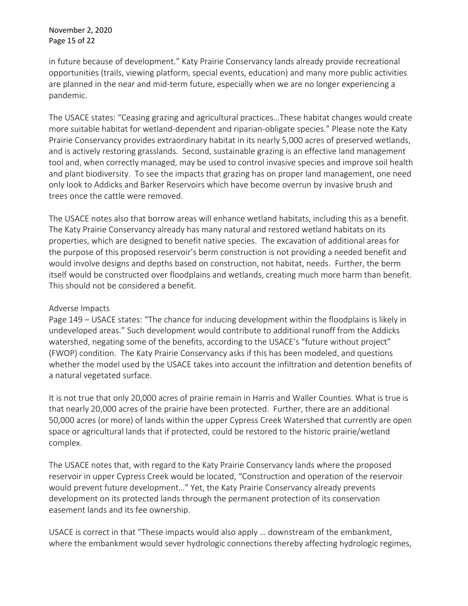November 2, 2020 Page 15 of 22

in future because of development." Katy Prairie Conservancy lands already provide recreational opportunities (trails, viewing platform, special events, education) and many more public activities are planned in the near and mid-term future, especially when we are no longer experiencing a pandemic.

The USACE states: "Ceasing grazing and agricultural practices…These habitat changes would create more suitable habitat for wetland-dependent and riparian-obligate species." Please note the Katy Prairie Conservancy provides extraordinary habitat in its nearly 5,000 acres of preserved wetlands, and is actively restoring grasslands. Second, sustainable grazing is an effective land management tool and, when correctly managed, may be used to control invasive species and improve soil health and plant biodiversity. To see the impacts that grazing has on proper land management, one need only look to Addicks and Barker Reservoirs which have become overrun by invasive brush and trees once the cattle were removed.

The USACE notes also that borrow areas will enhance wetland habitats, including this as a benefit. The Katy Prairie Conservancy already has many natural and restored wetland habitats on its properties, which are designed to benefit native species. The excavation of additional areas for the purpose of this proposed reservoir's berm construction is not providing a needed benefit and would involve designs and depths based on construction, not habitat, needs. Further, the berm itself would be constructed over floodplains and wetlands, creating much more harm than benefit. This should not be considered a benefit.

### Adverse Impacts

Page 149 – USACE states: "The chance for inducing development within the floodplains is likely in undeveloped areas." Such development would contribute to additional runoff from the Addicks watershed, negating some of the benefits, according to the USACE's "future without project" (FWOP) condition. The Katy Prairie Conservancy asks if this has been modeled, and questions whether the model used by the USACE takes into account the infiltration and detention benefits of a natural vegetated surface.

It is not true that only 20,000 acres of prairie remain in Harris and Waller Counties. What is true is that nearly 20,000 acres of the prairie have been protected. Further, there are an additional 50,000 acres (or more) of lands within the upper Cypress Creek Watershed that currently are open space or agricultural lands that if protected, could be restored to the historic prairie/wetland complex.

The USACE notes that, with regard to the Katy Prairie Conservancy lands where the proposed reservoir in upper Cypress Creek would be located, "Construction and operation of the reservoir would prevent future development…" Yet, the Katy Prairie Conservancy already prevents development on its protected lands through the permanent protection of its conservation easement lands and its fee ownership.

USACE is correct in that "These impacts would also apply … downstream of the embankment, where the embankment would sever hydrologic connections thereby affecting hydrologic regimes,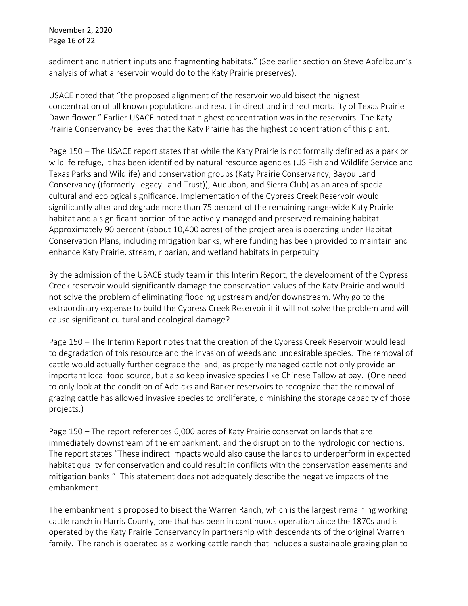November 2, 2020 Page 16 of 22

sediment and nutrient inputs and fragmenting habitats." (See earlier section on Steve Apfelbaum's analysis of what a reservoir would do to the Katy Prairie preserves).

USACE noted that "the proposed alignment of the reservoir would bisect the highest concentration of all known populations and result in direct and indirect mortality of Texas Prairie Dawn flower." Earlier USACE noted that highest concentration was in the reservoirs. The Katy Prairie Conservancy believes that the Katy Prairie has the highest concentration of this plant.

Page 150 – The USACE report states that while the Katy Prairie is not formally defined as a park or wildlife refuge, it has been identified by natural resource agencies (US Fish and Wildlife Service and Texas Parks and Wildlife) and conservation groups (Katy Prairie Conservancy, Bayou Land Conservancy ((formerly Legacy Land Trust)), Audubon, and Sierra Club) as an area of special cultural and ecological significance. Implementation of the Cypress Creek Reservoir would significantly alter and degrade more than 75 percent of the remaining range-wide Katy Prairie habitat and a significant portion of the actively managed and preserved remaining habitat. Approximately 90 percent (about 10,400 acres) of the project area is operating under Habitat Conservation Plans, including mitigation banks, where funding has been provided to maintain and enhance Katy Prairie, stream, riparian, and wetland habitats in perpetuity.

By the admission of the USACE study team in this Interim Report, the development of the Cypress Creek reservoir would significantly damage the conservation values of the Katy Prairie and would not solve the problem of eliminating flooding upstream and/or downstream. Why go to the extraordinary expense to build the Cypress Creek Reservoir if it will not solve the problem and will cause significant cultural and ecological damage?

Page 150 – The Interim Report notes that the creation of the Cypress Creek Reservoir would lead to degradation of this resource and the invasion of weeds and undesirable species. The removal of cattle would actually further degrade the land, as properly managed cattle not only provide an important local food source, but also keep invasive species like Chinese Tallow at bay. (One need to only look at the condition of Addicks and Barker reservoirs to recognize that the removal of grazing cattle has allowed invasive species to proliferate, diminishing the storage capacity of those projects.)

Page 150 – The report references 6,000 acres of Katy Prairie conservation lands that are immediately downstream of the embankment, and the disruption to the hydrologic connections. The report states "These indirect impacts would also cause the lands to underperform in expected habitat quality for conservation and could result in conflicts with the conservation easements and mitigation banks." This statement does not adequately describe the negative impacts of the embankment.

The embankment is proposed to bisect the Warren Ranch, which is the largest remaining working cattle ranch in Harris County, one that has been in continuous operation since the 1870s and is operated by the Katy Prairie Conservancy in partnership with descendants of the original Warren family. The ranch is operated as a working cattle ranch that includes a sustainable grazing plan to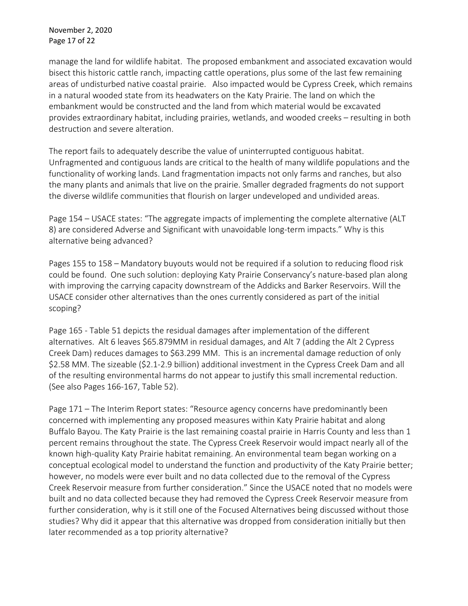November 2, 2020 Page 17 of 22

manage the land for wildlife habitat. The proposed embankment and associated excavation would bisect this historic cattle ranch, impacting cattle operations, plus some of the last few remaining areas of undisturbed native coastal prairie. Also impacted would be Cypress Creek, which remains in a natural wooded state from its headwaters on the Katy Prairie. The land on which the embankment would be constructed and the land from which material would be excavated provides extraordinary habitat, including prairies, wetlands, and wooded creeks – resulting in both destruction and severe alteration.

The report fails to adequately describe the value of uninterrupted contiguous habitat. Unfragmented and contiguous lands are critical to the health of many wildlife populations and the functionality of working lands. Land fragmentation impacts not only farms and ranches, but also the many plants and animals that live on the prairie. Smaller degraded fragments do not support the diverse wildlife communities that flourish on larger undeveloped and undivided areas.

Page 154 – USACE states: "The aggregate impacts of implementing the complete alternative (ALT 8) are considered Adverse and Significant with unavoidable long-term impacts." Why is this alternative being advanced?

Pages 155 to 158 – Mandatory buyouts would not be required if a solution to reducing flood risk could be found. One such solution: deploying Katy Prairie Conservancy's nature-based plan along with improving the carrying capacity downstream of the Addicks and Barker Reservoirs. Will the USACE consider other alternatives than the ones currently considered as part of the initial scoping?

Page 165 - Table 51 depicts the residual damages after implementation of the different alternatives. Alt 6 leaves \$65.879MM in residual damages, and Alt 7 (adding the Alt 2 Cypress Creek Dam) reduces damages to \$63.299 MM. This is an incremental damage reduction of only \$2.58 MM. The sizeable (\$2.1-2.9 billion) additional investment in the Cypress Creek Dam and all of the resulting environmental harms do not appear to justify this small incremental reduction. (See also Pages 166-167, Table 52).

Page 171 – The Interim Report states: "Resource agency concerns have predominantly been concerned with implementing any proposed measures within Katy Prairie habitat and along Buffalo Bayou. The Katy Prairie is the last remaining coastal prairie in Harris County and less than 1 percent remains throughout the state. The Cypress Creek Reservoir would impact nearly all of the known high-quality Katy Prairie habitat remaining. An environmental team began working on a conceptual ecological model to understand the function and productivity of the Katy Prairie better; however, no models were ever built and no data collected due to the removal of the Cypress Creek Reservoir measure from further consideration." Since the USACE noted that no models were built and no data collected because they had removed the Cypress Creek Reservoir measure from further consideration, why is it still one of the Focused Alternatives being discussed without those studies? Why did it appear that this alternative was dropped from consideration initially but then later recommended as a top priority alternative?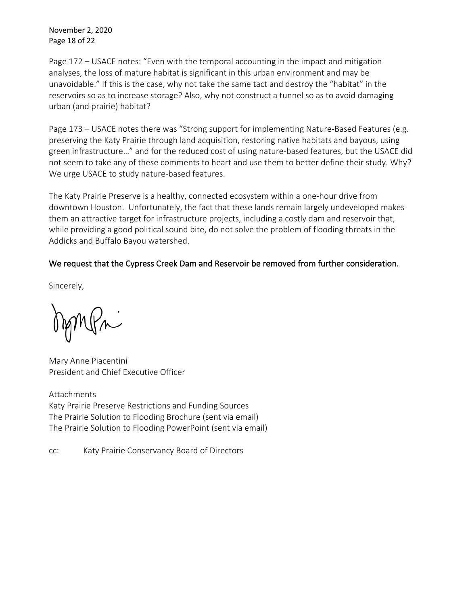November 2, 2020 Page 18 of 22

Page 172 – USACE notes: "Even with the temporal accounting in the impact and mitigation analyses, the loss of mature habitat is significant in this urban environment and may be unavoidable." If this is the case, why not take the same tact and destroy the "habitat" in the reservoirs so as to increase storage? Also, why not construct a tunnel so as to avoid damaging urban (and prairie) habitat?

Page 173 – USACE notes there was "Strong support for implementing Nature-Based Features (e.g. preserving the Katy Prairie through land acquisition, restoring native habitats and bayous, using green infrastructure…" and for the reduced cost of using nature-based features, but the USACE did not seem to take any of these comments to heart and use them to better define their study. Why? We urge USACE to study nature-based features.

The Katy Prairie Preserve is a healthy, connected ecosystem within a one-hour drive from downtown Houston. Unfortunately, the fact that these lands remain largely undeveloped makes them an attractive target for infrastructure projects, including a costly dam and reservoir that, while providing a good political sound bite, do not solve the problem of flooding threats in the Addicks and Buffalo Bayou watershed.

# We request that the Cypress Creek Dam and Reservoir be removed from further consideration.

Sincerely,

Mary Anne Piacentini President and Chief Executive Officer

Attachments Katy Prairie Preserve Restrictions and Funding Sources The Prairie Solution to Flooding Brochure (sent via email) The Prairie Solution to Flooding PowerPoint (sent via email)

cc: Katy Prairie Conservancy Board of Directors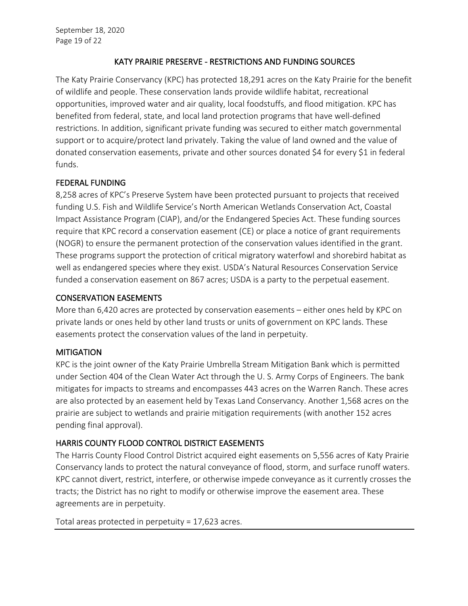# KATY PRAIRIE PRESERVE - RESTRICTIONS AND FUNDING SOURCES

The Katy Prairie Conservancy (KPC) has protected 18,291 acres on the Katy Prairie for the benefit of wildlife and people. These conservation lands provide wildlife habitat, recreational opportunities, improved water and air quality, local foodstuffs, and flood mitigation. KPC has benefited from federal, state, and local land protection programs that have well-defined restrictions. In addition, significant private funding was secured to either match governmental support or to acquire/protect land privately. Taking the value of land owned and the value of donated conservation easements, private and other sources donated \$4 for every \$1 in federal funds.

# FEDERAL FUNDING

8,258 acres of KPC's Preserve System have been protected pursuant to projects that received funding U.S. Fish and Wildlife Service's North American Wetlands Conservation Act, Coastal Impact Assistance Program (CIAP), and/or the Endangered Species Act. These funding sources require that KPC record a conservation easement (CE) or place a notice of grant requirements (NOGR) to ensure the permanent protection of the conservation values identified in the grant. These programs support the protection of critical migratory waterfowl and shorebird habitat as well as endangered species where they exist. USDA's Natural Resources Conservation Service funded a conservation easement on 867 acres; USDA is a party to the perpetual easement.

# CONSERVATION EASEMENTS

More than 6,420 acres are protected by conservation easements – either ones held by KPC on private lands or ones held by other land trusts or units of government on KPC lands. These easements protect the conservation values of the land in perpetuity.

# **MITIGATION**

KPC is the joint owner of the Katy Prairie Umbrella Stream Mitigation Bank which is permitted under Section 404 of the Clean Water Act through the U. S. Army Corps of Engineers. The bank mitigates for impacts to streams and encompasses 443 acres on the Warren Ranch. These acres are also protected by an easement held by Texas Land Conservancy. Another 1,568 acres on the prairie are subject to wetlands and prairie mitigation requirements (with another 152 acres pending final approval).

# HARRIS COUNTY FLOOD CONTROL DISTRICT EASEMENTS

The Harris County Flood Control District acquired eight easements on 5,556 acres of Katy Prairie Conservancy lands to protect the natural conveyance of flood, storm, and surface runoff waters. KPC cannot divert, restrict, interfere, or otherwise impede conveyance as it currently crosses the tracts; the District has no right to modify or otherwise improve the easement area. These agreements are in perpetuity.

Total areas protected in perpetuity = 17,623 acres.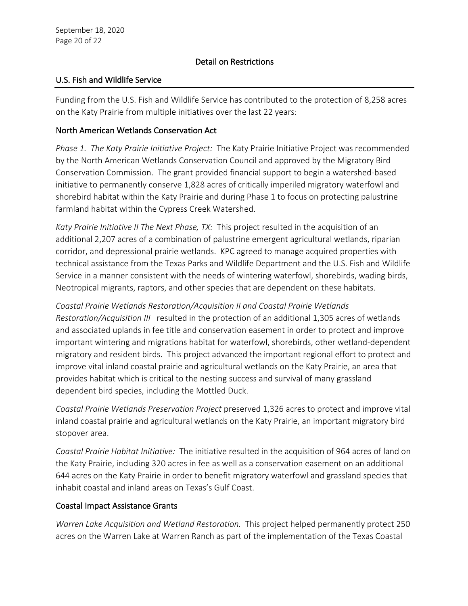### Detail on Restrictions

### U.S. Fish and Wildlife Service

Funding from the U.S. Fish and Wildlife Service has contributed to the protection of 8,258 acres on the Katy Prairie from multiple initiatives over the last 22 years:

### North American Wetlands Conservation Act

*Phase 1. The Katy Prairie Initiative Project:* The Katy Prairie Initiative Project was recommended by the North American Wetlands Conservation Council and approved by the Migratory Bird Conservation Commission. The grant provided financial support to begin a watershed-based initiative to permanently conserve 1,828 acres of critically imperiled migratory waterfowl and shorebird habitat within the Katy Prairie and during Phase 1 to focus on protecting palustrine farmland habitat within the Cypress Creek Watershed.

*Katy Prairie Initiative II The Next Phase, TX:* This project resulted in the acquisition of an additional 2,207 acres of a combination of palustrine emergent agricultural wetlands, riparian corridor, and depressional prairie wetlands. KPC agreed to manage acquired properties with technical assistance from the Texas Parks and Wildlife Department and the U.S. Fish and Wildlife Service in a manner consistent with the needs of wintering waterfowl, shorebirds, wading birds, Neotropical migrants, raptors, and other species that are dependent on these habitats.

*Coastal Prairie Wetlands Restoration/Acquisition II and Coastal Prairie Wetlands Restoration/Acquisition III* resulted in the protection of an additional 1,305 acres of wetlands and associated uplands in fee title and conservation easement in order to protect and improve important wintering and migrations habitat for waterfowl, shorebirds, other wetland-dependent migratory and resident birds. This project advanced the important regional effort to protect and improve vital inland coastal prairie and agricultural wetlands on the Katy Prairie, an area that provides habitat which is critical to the nesting success and survival of many grassland dependent bird species, including the Mottled Duck.

*Coastal Prairie Wetlands Preservation Project* preserved 1,326 acres to protect and improve vital inland coastal prairie and agricultural wetlands on the Katy Prairie, an important migratory bird stopover area.

*Coastal Prairie Habitat Initiative:* The initiative resulted in the acquisition of 964 acres of land on the Katy Prairie, including 320 acres in fee as well as a conservation easement on an additional 644 acres on the Katy Prairie in order to benefit migratory waterfowl and grassland species that inhabit coastal and inland areas on Texas's Gulf Coast.

## Coastal Impact Assistance Grants

*Warren Lake Acquisition and Wetland Restoration.* This project helped permanently protect 250 acres on the Warren Lake at Warren Ranch as part of the implementation of the Texas Coastal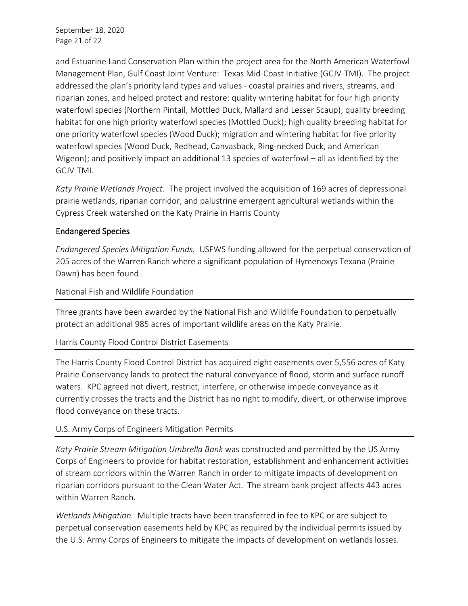September 18, 2020 Page 21 of 22

and Estuarine Land Conservation Plan within the project area for the North American Waterfowl Management Plan, Gulf Coast Joint Venture: Texas Mid-Coast Initiative (GCJV-TMI). The project addressed the plan's priority land types and values - coastal prairies and rivers, streams, and riparian zones, and helped protect and restore: quality wintering habitat for four high priority waterfowl species (Northern Pintail, Mottled Duck, Mallard and Lesser Scaup); quality breeding habitat for one high priority waterfowl species (Mottled Duck); high quality breeding habitat for one priority waterfowl species (Wood Duck); migration and wintering habitat for five priority waterfowl species (Wood Duck, Redhead, Canvasback, Ring-necked Duck, and American Wigeon); and positively impact an additional 13 species of waterfowl – all as identified by the GCJV-TMI.

*Katy Prairie Wetlands Project.* The project involved the acquisition of 169 acres of depressional prairie wetlands, riparian corridor, and palustrine emergent agricultural wetlands within the Cypress Creek watershed on the Katy Prairie in Harris County

### Endangered Species

*Endangered Species Mitigation Funds.* USFWS funding allowed for the perpetual conservation of 205 acres of the Warren Ranch where a significant population of Hymenoxys Texana (Prairie Dawn) has been found.

### National Fish and Wildlife Foundation

Three grants have been awarded by the National Fish and Wildlife Foundation to perpetually protect an additional 985 acres of important wildlife areas on the Katy Prairie.

## Harris County Flood Control District Easements

The Harris County Flood Control District has acquired eight easements over 5,556 acres of Katy Prairie Conservancy lands to protect the natural conveyance of flood, storm and surface runoff waters. KPC agreed not divert, restrict, interfere, or otherwise impede conveyance as it currently crosses the tracts and the District has no right to modify, divert, or otherwise improve flood conveyance on these tracts.

## U.S. Army Corps of Engineers Mitigation Permits

*Katy Prairie Stream Mitigation Umbrella Bank* was constructed and permitted by the US Army Corps of Engineers to provide for habitat restoration, establishment and enhancement activities of stream corridors within the Warren Ranch in order to mitigate impacts of development on riparian corridors pursuant to the Clean Water Act. The stream bank project affects 443 acres within Warren Ranch.

*Wetlands Mitigation.* Multiple tracts have been transferred in fee to KPC or are subject to perpetual conservation easements held by KPC as required by the individual permits issued by the U.S. Army Corps of Engineers to mitigate the impacts of development on wetlands losses.